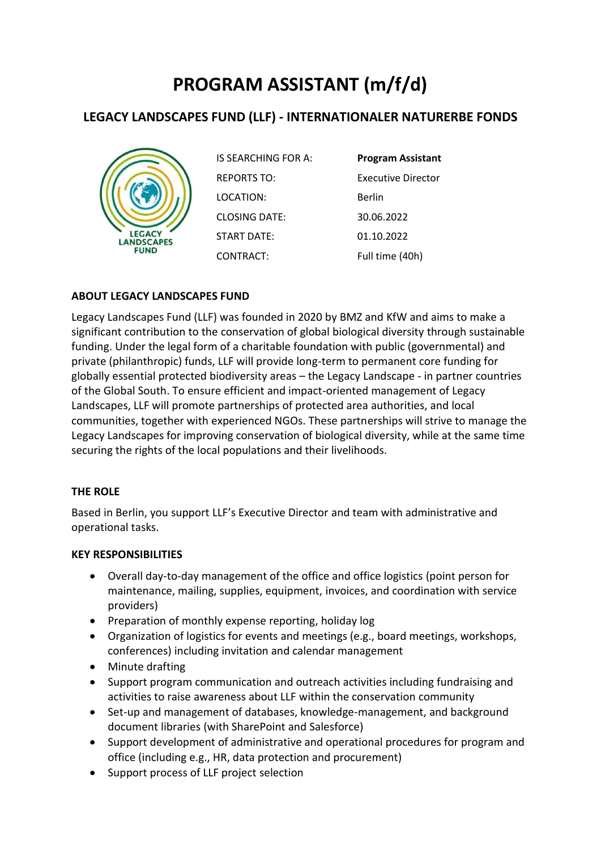# **PROGRAM ASSISTANT (m/f/d)**

# **LEGACY LANDSCAPES FUND (LLF) - INTERNATIONALER NATURERBE FONDS**



| IS SEARCHING FOR A: | <b>Program Assistant</b> |
|---------------------|--------------------------|
| <b>REPORTS TO:</b>  | Executive Director       |
| LOCATION:           | Berlin                   |
| CLOSING DATE:       | 30.06.2022               |
| START DATE:         | 01.10.2022               |
| CONTRACT:           | Full time (40h)          |

### **ABOUT LEGACY LANDSCAPES FUND**

Legacy Landscapes Fund (LLF) was founded in 2020 by BMZ and KfW and aims to make a significant contribution to the conservation of global biological diversity through sustainable funding. Under the legal form of a charitable foundation with public (governmental) and private (philanthropic) funds, LLF will provide long-term to permanent core funding for globally essential protected biodiversity areas – the Legacy Landscape - in partner countries of the Global South. To ensure efficient and impact-oriented management of Legacy Landscapes, LLF will promote partnerships of protected area authorities, and local communities, together with experienced NGOs. These partnerships will strive to manage the Legacy Landscapes for improving conservation of biological diversity, while at the same time securing the rights of the local populations and their livelihoods.

#### **THE ROLE**

Based in Berlin, you support LLF's Executive Director and team with administrative and operational tasks.

#### **KEY RESPONSIBILITIES**

- Overall day-to-day management of the office and office logistics (point person for maintenance, mailing, supplies, equipment, invoices, and coordination with service providers)
- Preparation of monthly expense reporting, holiday log
- Organization of logistics for events and meetings (e.g., board meetings, workshops, conferences) including invitation and calendar management
- Minute drafting
- Support program communication and outreach activities including fundraising and activities to raise awareness about LLF within the conservation community
- Set-up and management of databases, knowledge-management, and background document libraries (with SharePoint and Salesforce)
- Support development of administrative and operational procedures for program and office (including e.g., HR, data protection and procurement)
- Support process of LLF project selection